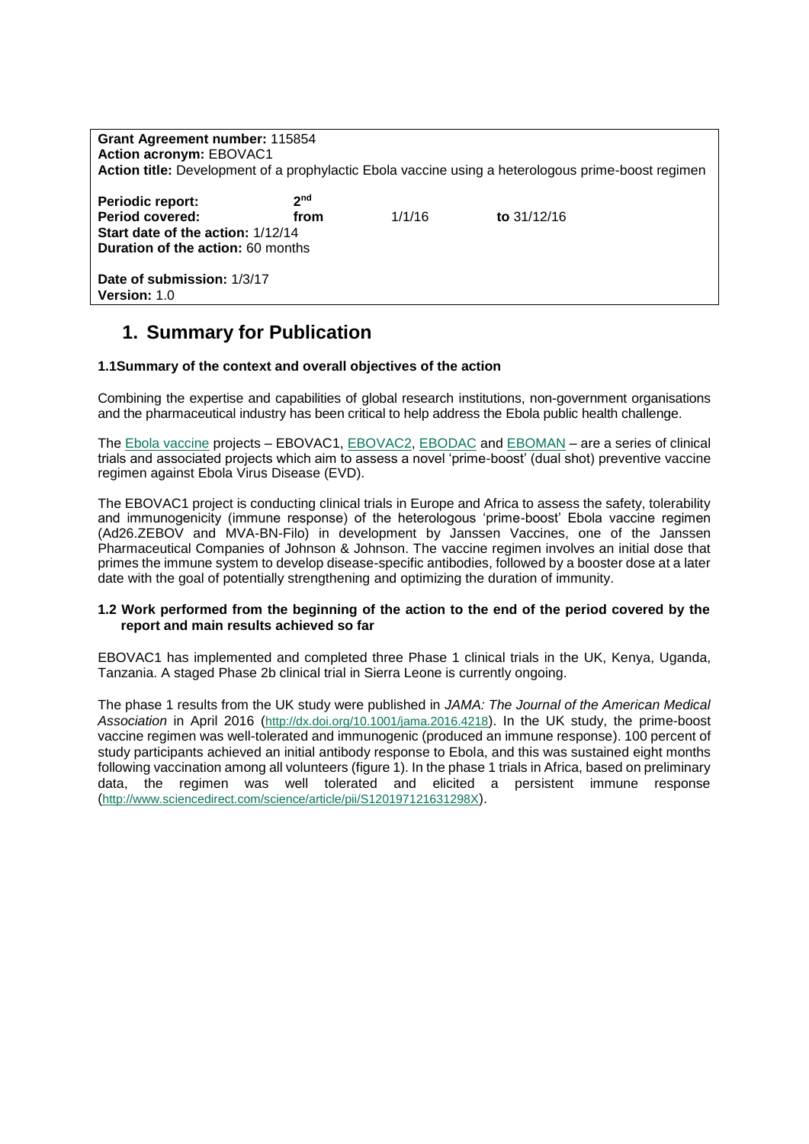| Grant Agreement number: 115854<br><b>Action acronym: EBOVAC1</b><br>Action title: Development of a prophylactic Ebola vaccine using a heterologous prime-boost regimen |                         |        |               |
|------------------------------------------------------------------------------------------------------------------------------------------------------------------------|-------------------------|--------|---------------|
| <b>Periodic report:</b><br><b>Period covered:</b><br>Start date of the action: 1/12/14<br><b>Duration of the action: 60 months</b>                                     | 2 <sub>nd</sub><br>from | 1/1/16 | to $31/12/16$ |
| Date of submission: 1/3/17<br><b>Version: 1.0</b>                                                                                                                      |                         |        |               |

## **1. Summary for Publication**

## **1.1Summary of the context and overall objectives of the action**

Combining the expertise and capabilities of global research institutions, non-government organisations and the pharmaceutical industry has been critical to help address the Ebola public health challenge.

The [Ebola vaccine](http://www.ebovac.org/the-vaccines/) projects - EBOVAC1, [EBOVAC2,](http://www.ebovac2.com/) [EBODAC](http://www.ebovac.org/ebodac/) and [EBOMAN](http://www.ebovac.org/eboman/) - are a series of clinical trials and associated projects which aim to assess a novel 'prime-boost' (dual shot) preventive vaccine regimen against Ebola Virus Disease (EVD).

The EBOVAC1 project is conducting clinical trials in Europe and Africa to assess the safety, tolerability and immunogenicity (immune response) of the heterologous 'prime-boost' Ebola vaccine regimen (Ad26.ZEBOV and MVA-BN-Filo) in development by Janssen Vaccines, one of the Janssen Pharmaceutical Companies of Johnson & Johnson. The vaccine regimen involves an initial dose that primes the immune system to develop disease-specific antibodies, followed by a booster dose at a later date with the goal of potentially strengthening and optimizing the duration of immunity.

## **1.2 Work performed from the beginning of the action to the end of the period covered by the report and main results achieved so far**

EBOVAC1 has implemented and completed three Phase 1 clinical trials in the UK, Kenya, Uganda, Tanzania. A staged Phase 2b clinical trial in Sierra Leone is currently ongoing.

The phase 1 results from the UK study were published in *JAMA: The Journal of the American Medical Association* in April 2016 (<http://dx.doi.org/10.1001/jama.2016.4218>). In the UK study, the prime-boost vaccine regimen was well-tolerated and immunogenic (produced an immune response). 100 percent of study participants achieved an initial antibody response to Ebola, and this was sustained eight months following vaccination among all volunteers (figure 1). In the phase 1 trials in Africa, based on preliminary data, the regimen was well tolerated and elicited a persistent immune response (<http://www.sciencedirect.com/science/article/pii/S120197121631298X>).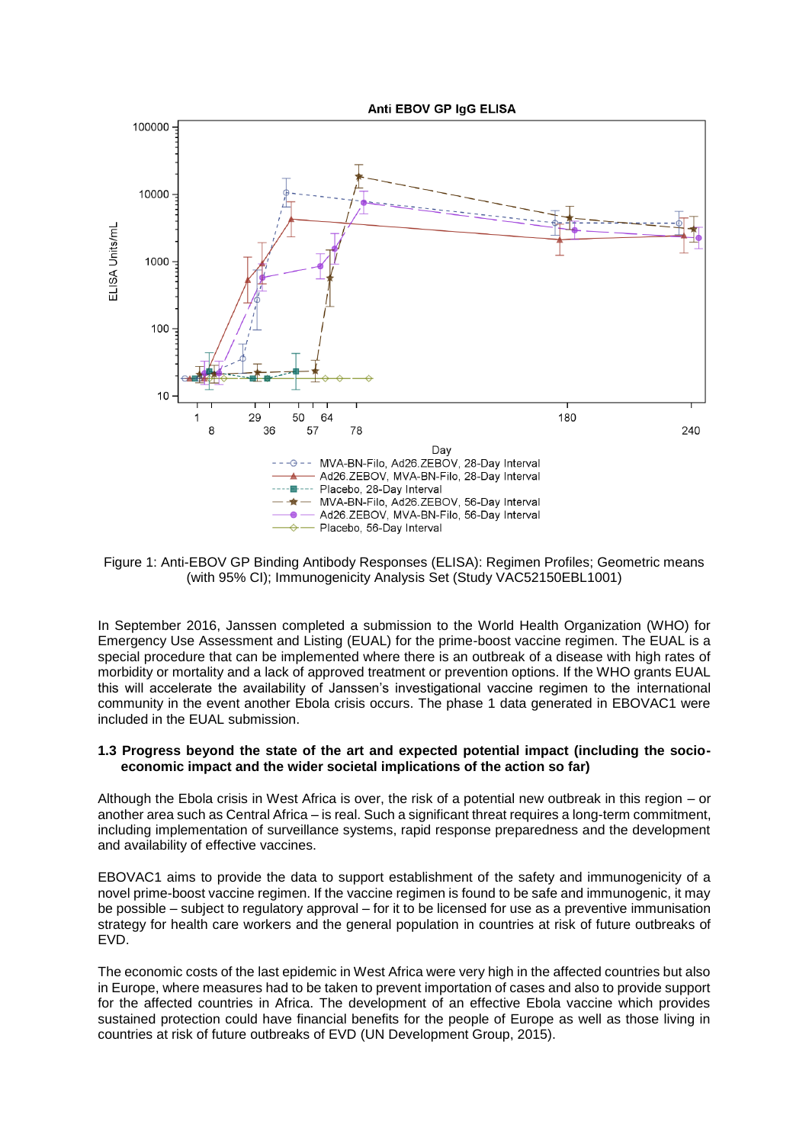

Figure 1: Anti-EBOV GP Binding Antibody Responses (ELISA): Regimen Profiles; Geometric means (with 95% CI); Immunogenicity Analysis Set (Study VAC52150EBL1001)

In September 2016, Janssen completed a submission to the World Health Organization (WHO) for Emergency Use Assessment and Listing (EUAL) for the prime-boost vaccine regimen. The EUAL is a special procedure that can be implemented where there is an outbreak of a disease with high rates of morbidity or mortality and a lack of approved treatment or prevention options. If the WHO grants EUAL this will accelerate the availability of Janssen's investigational vaccine regimen to the international community in the event another Ebola crisis occurs. The phase 1 data generated in EBOVAC1 were included in the EUAL submission.

## **1.3 Progress beyond the state of the art and expected potential impact (including the socioeconomic impact and the wider societal implications of the action so far)**

Although the Ebola crisis in West Africa is over, the risk of a potential new outbreak in this region – or another area such as Central Africa – is real. Such a significant threat requires a long-term commitment, including implementation of surveillance systems, rapid response preparedness and the development and availability of effective vaccines.

EBOVAC1 aims to provide the data to support establishment of the safety and immunogenicity of a novel prime-boost vaccine regimen. If the vaccine regimen is found to be safe and immunogenic, it may be possible – subject to regulatory approval – for it to be licensed for use as a preventive immunisation strategy for health care workers and the general population in countries at risk of future outbreaks of EVD.

The economic costs of the last epidemic in West Africa were very high in the affected countries but also in Europe, where measures had to be taken to prevent importation of cases and also to provide support for the affected countries in Africa. The development of an effective Ebola vaccine which provides sustained protection could have financial benefits for the people of Europe as well as those living in countries at risk of future outbreaks of EVD (UN Development Group, 2015).